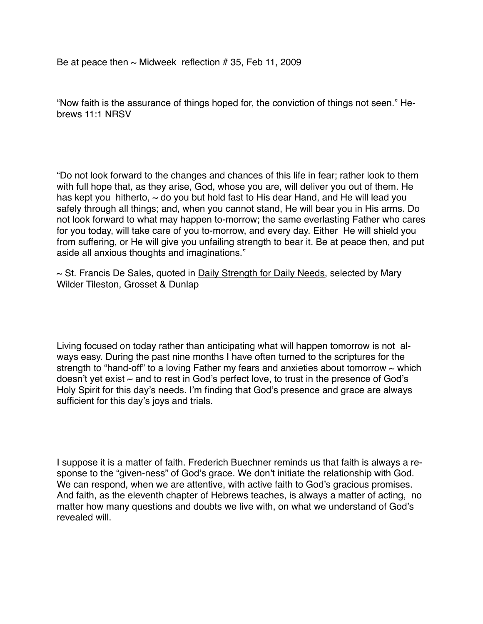"Now faith is the assurance of things hoped for, the conviction of things not seen." Hebrews 11:1 NRSV

"Do not look forward to the changes and chances of this life in fear; rather look to them with full hope that, as they arise, God, whose you are, will deliver you out of them. He has kept you hitherto,  $\sim$  do you but hold fast to His dear Hand, and He will lead you safely through all things; and, when you cannot stand, He will bear you in His arms. Do not look forward to what may happen to-morrow; the same everlasting Father who cares for you today, will take care of you to-morrow, and every day. Either He will shield you from suffering, or He will give you unfailing strength to bear it. Be at peace then, and put aside all anxious thoughts and imaginations."

 $\sim$  St. Francis De Sales, quoted in Daily Strength for Daily Needs, selected by Mary Wilder Tileston, Grosset & Dunlap

Living focused on today rather than anticipating what will happen tomorrow is not always easy. During the past nine months I have often turned to the scriptures for the strength to "hand-off" to a loving Father my fears and anxieties about tomorrow  $\sim$  which doesn't yet exist  $\sim$  and to rest in God's perfect love, to trust in the presence of God's Holy Spirit for this day's needs. I'm finding that God's presence and grace are always sufficient for this day's joys and trials.

I suppose it is a matter of faith. Frederich Buechner reminds us that faith is always a response to the "given-ness" of God's grace. We don't initiate the relationship with God. We can respond, when we are attentive, with active faith to God's gracious promises. And faith, as the eleventh chapter of Hebrews teaches, is always a matter of acting, no matter how many questions and doubts we live with, on what we understand of God's revealed will.